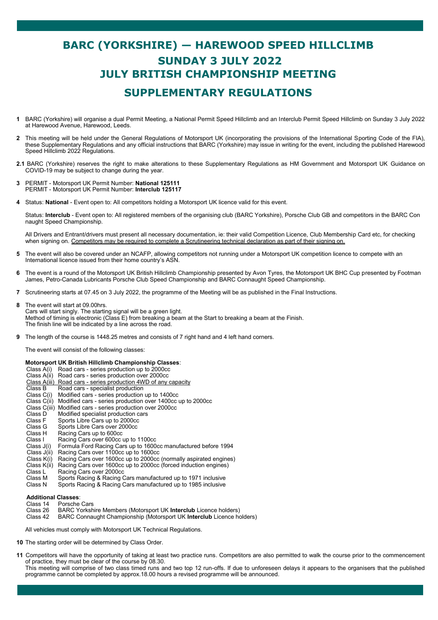## **BARC (YORKSHIRE) — HAREWOOD SPEED HILLCLIMB SUNDAY 3 JULY 2022 JULY BRITISH CHAMPIONSHIP MEETING SUPPLEMENTARY REGULATIONS**

- **1** BARC (Yorkshire) will organise a dual Permit Meeting, a National Permit Speed Hillclimb and an Interclub Permit Speed Hillclimb on Sunday 3 July 2022 at Harewood Avenue, Harewood, Leeds.
- **2** This meeting will be held under the General Regulations of Motorsport UK (incorporating the provisions of the International Sporting Code of the FIA), these Supplementary Regulations and any official instructions that BARC (Yorkshire) may issue in writing for the event, including the published Harewood Speed Hillclimb 2022 Regulations.
- **2.1** BARC (Yorkshire) reserves the right to make alterations to these Supplementary Regulations as HM Government and Motorsport UK Guidance on COVID-19 may be subject to change during the year.
- **3** PERMIT Motorsport UK Permit Number: **National 125111** PERMIT - Motorsport UK Permit Number: **Interclub 125117**
- **4** Status: **National**  Event open to: All competitors holding a Motorsport UK licence valid for this event.

Status: **Interclub** - Event open to: All registered members of the organising club (BARC Yorkshire), Porsche Club GB and competitors in the BARC Con naught Speed Championship.

All Drivers and Entrant/drivers must present all necessary documentation, ie: their valid Competition Licence, Club Membership Card etc, for checking when signing on. Competitors may be required to complete a Scrutineering technical declaration as part of their signing on.

- **5** The event will also be covered under an NCAFP, allowing competitors not running under a Motorsport UK competition licence to compete with an International licence issued from their home country's ASN.
- **6** The event is a round of the Motorsport UK British Hillclimb Championship presented by Avon Tyres, the Motorsport UK BHC Cup presented by Footman James, Petro-Canada Lubricants Porsche Club Speed Championship and BARC Connaught Speed Championship.
- **7** Scrutineering starts at 07.45 on 3 July 2022, the programme of the Meeting will be as published in the Final Instructions.
- **8** The event will start at 09.00hrs. Cars will start singly. The starting signal will be a green light. Method of timing is electronic (Class E) from breaking a beam at the Start to breaking a beam at the Finish. The finish line will be indicated by a line across the road.
- **9** The length of the course is 1448.25 metres and consists of 7 right hand and 4 left hand corners.

The event will consist of the following classes:

## **Motorsport UK British Hillclimb Championship Classes**:

- Class A(i) Road cars series production up to 2000cc
- Road cars series production over 2000cc
- Class A(iii) Road cars series production 4WD of any capacity
- Class B Road cars specialist production
	- Class C(i) Modified cars series production up to 1400cc
	- Class C(ii) Modified cars series production over 1400cc up to 2000cc
	- **Class C(iii) Modified cars series production over 2000cc Class D. Modified specialist production cars**
	- **Modified specialist production cars**
	- Class F Sports Libre Cars up to 2000cc
	- Class G Sports Libre Cars over 2000cc<br>Class H Racing Cars up to 600cc
	- Class H Racing Cars up to 600cc<br>Class I Racing Cars over 600cc
	- Class I Racing Cars over 600cc up to 1100cc<br>Class J(i) Formula Ford Racing Cars up to 1600
	- Class J(i) Formula Ford Racing Cars up to 1600cc manufactured before 1994
	- Class  $J(i)$  Racing Cars over 1100cc up to 1600cc Class  $K(i)$  Racing Cars over 1600cc up to 2000cc
	- Racing Cars over 1600cc up to 2000cc (normally aspirated engines)
	- Class K(ii) Racing Cars over 1600cc up to 2000cc (forced induction engines)
	- **Class L** Racing Cars over 2000cc
	- Class M Sports Racing & Racing Cars manufactured up to 1971 inclusive
	- Class N Sports Racing & Racing Cars manufactured up to 1985 inclusive

## **Additional Classes**:

- Class 14 Porsche Cars<br>Class 26 BARC Yorksh
- Class 26 BARC Yorkshire Members (Motorsport UK **Interclub** Licence holders)
- BARC Connaught Championship (Motorsport UK Interclub Licence holders)

All vehicles must comply with Motorsport UK Technical Regulations.

- **10** The starting order will be determined by Class Order.
- 11 Competitors will have the opportunity of taking at least two practice runs. Competitors are also permitted to walk the course prior to the commencement of practice, they must be clear of the course by 08.30.

This meeting will comprise of two class timed runs and two top 12 run-offs. If due to unforeseen delays it appears to the organisers that the published programme cannot be completed by approx.18.00 hours a revised programme will be announced.